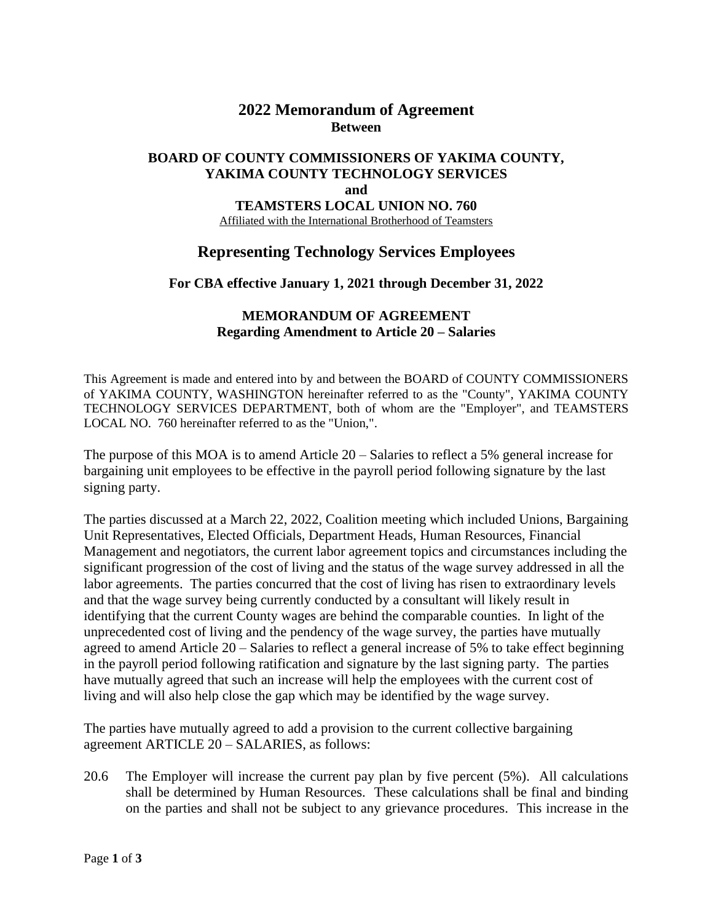## **2022 Memorandum of Agreement Between**

#### **BOARD OF COUNTY COMMISSIONERS OF YAKIMA COUNTY, YAKIMA COUNTY TECHNOLOGY SERVICES and TEAMSTERS LOCAL UNION NO. 760**

Affiliated with the International Brotherhood of Teamsters

# **Representing Technology Services Employees**

**For CBA effective January 1, 2021 through December 31, 2022**

### **MEMORANDUM OF AGREEMENT Regarding Amendment to Article 20 – Salaries**

This Agreement is made and entered into by and between the BOARD of COUNTY COMMISSIONERS of YAKIMA COUNTY, WASHINGTON hereinafter referred to as the "County", YAKIMA COUNTY TECHNOLOGY SERVICES DEPARTMENT, both of whom are the "Employer", and TEAMSTERS LOCAL NO. 760 hereinafter referred to as the "Union,".

The purpose of this MOA is to amend Article 20 – Salaries to reflect a 5% general increase for bargaining unit employees to be effective in the payroll period following signature by the last signing party.

The parties discussed at a March 22, 2022, Coalition meeting which included Unions, Bargaining Unit Representatives, Elected Officials, Department Heads, Human Resources, Financial Management and negotiators, the current labor agreement topics and circumstances including the significant progression of the cost of living and the status of the wage survey addressed in all the labor agreements. The parties concurred that the cost of living has risen to extraordinary levels and that the wage survey being currently conducted by a consultant will likely result in identifying that the current County wages are behind the comparable counties. In light of the unprecedented cost of living and the pendency of the wage survey, the parties have mutually agreed to amend Article 20 – Salaries to reflect a general increase of 5% to take effect beginning in the payroll period following ratification and signature by the last signing party. The parties have mutually agreed that such an increase will help the employees with the current cost of living and will also help close the gap which may be identified by the wage survey.

The parties have mutually agreed to add a provision to the current collective bargaining agreement ARTICLE 20 – SALARIES, as follows:

20.6 The Employer will increase the current pay plan by five percent (5%). All calculations shall be determined by Human Resources. These calculations shall be final and binding on the parties and shall not be subject to any grievance procedures. This increase in the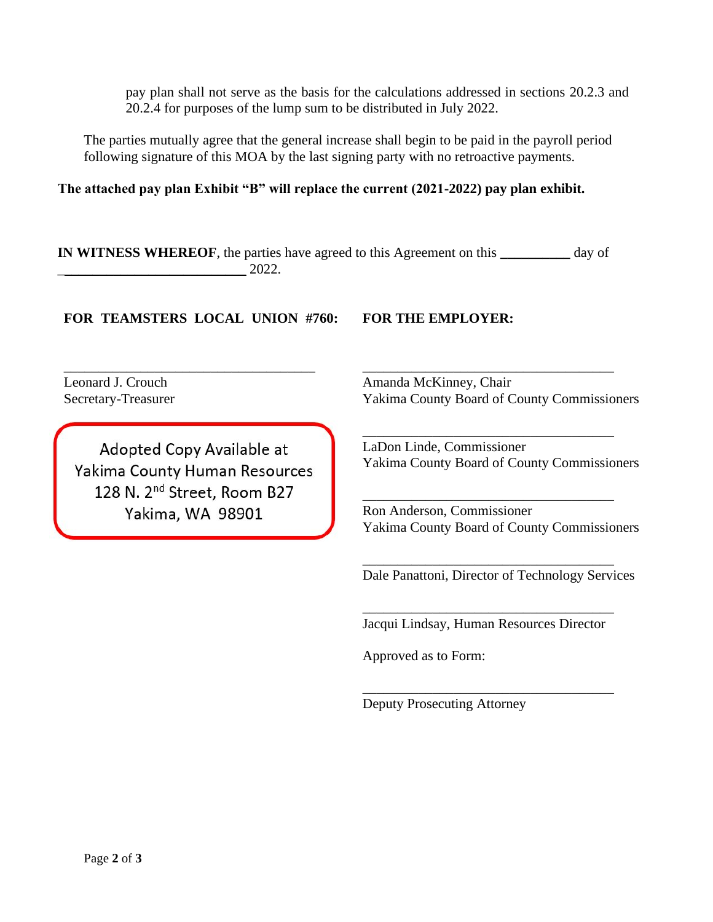pay plan shall not serve as the basis for the calculations addressed in sections 20.2.3 and 20.2.4 for purposes of the lump sum to be distributed in July 2022.

The parties mutually agree that the general increase shall begin to be paid in the payroll period following signature of this MOA by the last signing party with no retroactive payments.

**The attached pay plan Exhibit "B" will replace the current (2021-2022) pay plan exhibit.** 

**IN WITNESS WHEREOF**, the parties have agreed to this Agreement on this **\_\_\_\_\_\_\_\_\_\_** day of \_\_\_\_\_\_\_\_\_\_\_\_\_\_\_\_\_\_\_\_\_\_\_\_\_\_\_ 2022.

### **FOR TEAMSTERS LOCAL UNION #760: FOR THE EMPLOYER:**

\_\_\_\_\_\_\_\_\_\_\_\_\_\_\_\_\_\_\_\_\_\_\_\_\_\_\_\_\_\_\_\_\_\_\_\_

Leonard J. Crouch Secretary-Treasurer

Adopted Copy Available at Yakima County Human Resources 128 N. 2<sup>nd</sup> Street, Room B27 Yakima, WA 98901

Amanda McKinney, Chair Yakima County Board of County Commissioners

\_\_\_\_\_\_\_\_\_\_\_\_\_\_\_\_\_\_\_\_\_\_\_\_\_\_\_\_\_\_\_\_\_\_\_\_

\_\_\_\_\_\_\_\_\_\_\_\_\_\_\_\_\_\_\_\_\_\_\_\_\_\_\_\_\_\_\_\_\_\_\_\_ LaDon Linde, Commissioner Yakima County Board of County Commissioners

Ron Anderson, Commissioner Yakima County Board of County Commissioners

\_\_\_\_\_\_\_\_\_\_\_\_\_\_\_\_\_\_\_\_\_\_\_\_\_\_\_\_\_\_\_\_\_\_\_\_

\_\_\_\_\_\_\_\_\_\_\_\_\_\_\_\_\_\_\_\_\_\_\_\_\_\_\_\_\_\_\_\_\_\_\_\_

Dale Panattoni, Director of Technology Services

\_\_\_\_\_\_\_\_\_\_\_\_\_\_\_\_\_\_\_\_\_\_\_\_\_\_\_\_\_\_\_\_\_\_\_\_ Jacqui Lindsay, Human Resources Director

\_\_\_\_\_\_\_\_\_\_\_\_\_\_\_\_\_\_\_\_\_\_\_\_\_\_\_\_\_\_\_\_\_\_\_\_

Approved as to Form:

Deputy Prosecuting Attorney